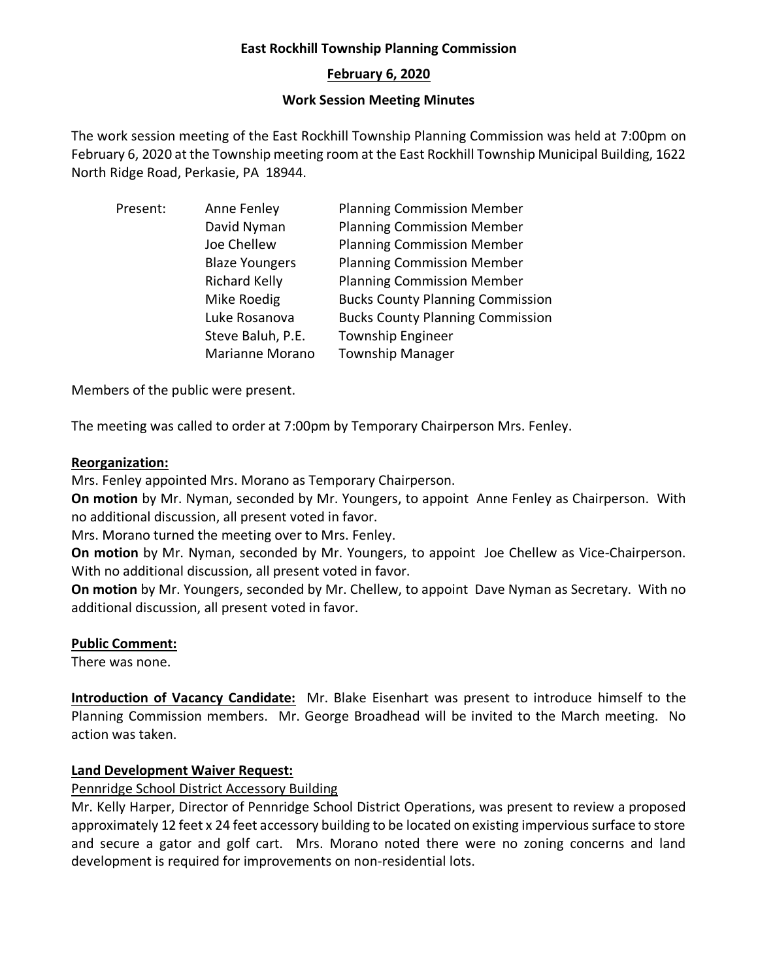## **East Rockhill Township Planning Commission**

## **February 6, 2020**

### **Work Session Meeting Minutes**

The work session meeting of the East Rockhill Township Planning Commission was held at 7:00pm on February 6, 2020 at the Township meeting room at the East Rockhill Township Municipal Building, 1622 North Ridge Road, Perkasie, PA 18944.

| Present: | Anne Fenley           | <b>Planning Commission Member</b>       |
|----------|-----------------------|-----------------------------------------|
|          | David Nyman           | <b>Planning Commission Member</b>       |
|          | Joe Chellew           | <b>Planning Commission Member</b>       |
|          | <b>Blaze Youngers</b> | <b>Planning Commission Member</b>       |
|          | <b>Richard Kelly</b>  | <b>Planning Commission Member</b>       |
|          | Mike Roedig           | <b>Bucks County Planning Commission</b> |
|          | Luke Rosanova         | <b>Bucks County Planning Commission</b> |
|          | Steve Baluh, P.E.     | <b>Township Engineer</b>                |
|          | Marianne Morano       | <b>Township Manager</b>                 |

Members of the public were present.

The meeting was called to order at 7:00pm by Temporary Chairperson Mrs. Fenley.

### **Reorganization:**

Mrs. Fenley appointed Mrs. Morano as Temporary Chairperson.

**On motion** by Mr. Nyman, seconded by Mr. Youngers, to appoint Anne Fenley as Chairperson. With no additional discussion, all present voted in favor.

Mrs. Morano turned the meeting over to Mrs. Fenley.

**On motion** by Mr. Nyman, seconded by Mr. Youngers, to appoint Joe Chellew as Vice-Chairperson. With no additional discussion, all present voted in favor.

**On motion** by Mr. Youngers, seconded by Mr. Chellew, to appoint Dave Nyman as Secretary. With no additional discussion, all present voted in favor.

#### **Public Comment:**

There was none.

**Introduction of Vacancy Candidate:** Mr. Blake Eisenhart was present to introduce himself to the Planning Commission members. Mr. George Broadhead will be invited to the March meeting. No action was taken.

## **Land Development Waiver Request:**

## Pennridge School District Accessory Building

Mr. Kelly Harper, Director of Pennridge School District Operations, was present to review a proposed approximately 12 feet x 24 feet accessory building to be located on existing impervious surface to store and secure a gator and golf cart. Mrs. Morano noted there were no zoning concerns and land development is required for improvements on non-residential lots.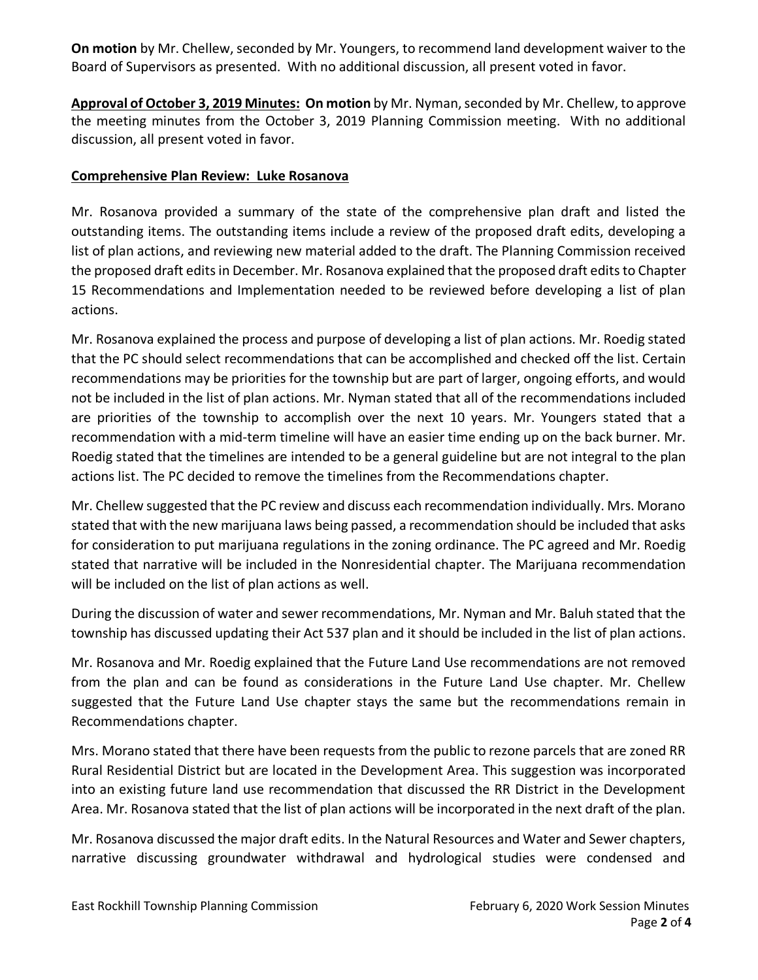**On motion** by Mr. Chellew, seconded by Mr. Youngers, to recommend land development waiver to the Board of Supervisors as presented. With no additional discussion, all present voted in favor.

**Approval of October 3, 2019 Minutes: On motion** by Mr. Nyman,seconded by Mr. Chellew, to approve the meeting minutes from the October 3, 2019 Planning Commission meeting. With no additional discussion, all present voted in favor.

# **Comprehensive Plan Review: Luke Rosanova**

Mr. Rosanova provided a summary of the state of the comprehensive plan draft and listed the outstanding items. The outstanding items include a review of the proposed draft edits, developing a list of plan actions, and reviewing new material added to the draft. The Planning Commission received the proposed draft edits in December. Mr. Rosanova explained that the proposed draft edits to Chapter 15 Recommendations and Implementation needed to be reviewed before developing a list of plan actions.

Mr. Rosanova explained the process and purpose of developing a list of plan actions. Mr. Roedig stated that the PC should select recommendations that can be accomplished and checked off the list. Certain recommendations may be priorities for the township but are part of larger, ongoing efforts, and would not be included in the list of plan actions. Mr. Nyman stated that all of the recommendations included are priorities of the township to accomplish over the next 10 years. Mr. Youngers stated that a recommendation with a mid-term timeline will have an easier time ending up on the back burner. Mr. Roedig stated that the timelines are intended to be a general guideline but are not integral to the plan actions list. The PC decided to remove the timelines from the Recommendations chapter.

Mr. Chellew suggested that the PC review and discuss each recommendation individually. Mrs. Morano stated that with the new marijuana laws being passed, a recommendation should be included that asks for consideration to put marijuana regulations in the zoning ordinance. The PC agreed and Mr. Roedig stated that narrative will be included in the Nonresidential chapter. The Marijuana recommendation will be included on the list of plan actions as well.

During the discussion of water and sewer recommendations, Mr. Nyman and Mr. Baluh stated that the township has discussed updating their Act 537 plan and it should be included in the list of plan actions.

Mr. Rosanova and Mr. Roedig explained that the Future Land Use recommendations are not removed from the plan and can be found as considerations in the Future Land Use chapter. Mr. Chellew suggested that the Future Land Use chapter stays the same but the recommendations remain in Recommendations chapter.

Mrs. Morano stated that there have been requests from the public to rezone parcels that are zoned RR Rural Residential District but are located in the Development Area. This suggestion was incorporated into an existing future land use recommendation that discussed the RR District in the Development Area. Mr. Rosanova stated that the list of plan actions will be incorporated in the next draft of the plan.

Mr. Rosanova discussed the major draft edits. In the Natural Resources and Water and Sewer chapters, narrative discussing groundwater withdrawal and hydrological studies were condensed and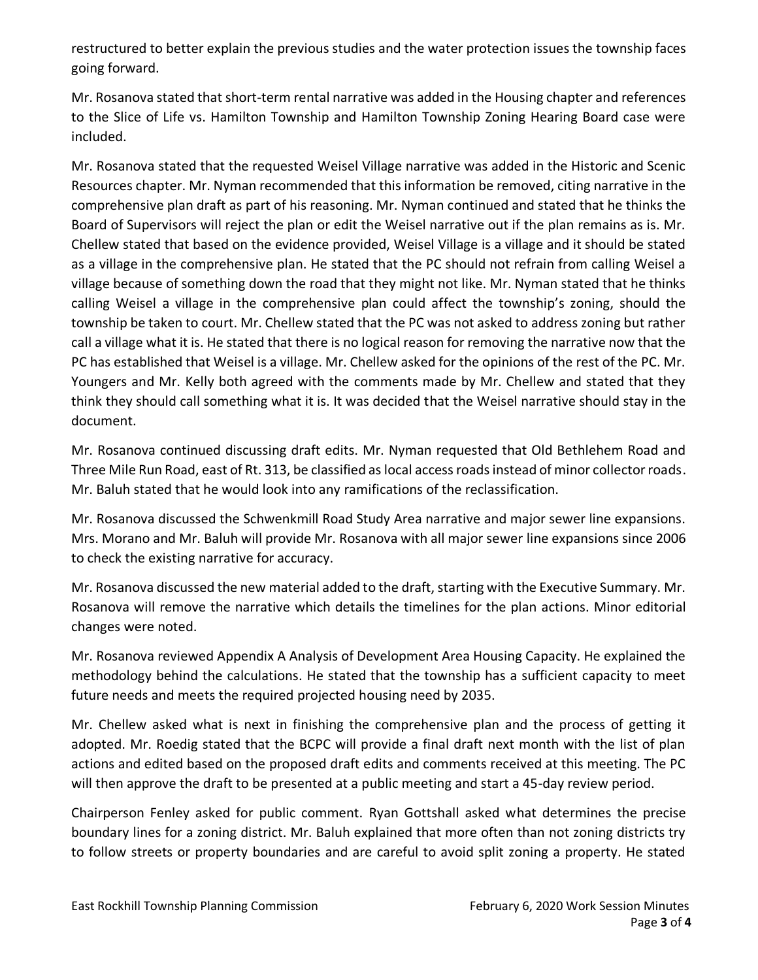restructured to better explain the previous studies and the water protection issues the township faces going forward.

Mr. Rosanova stated that short-term rental narrative was added in the Housing chapter and references to the Slice of Life vs. Hamilton Township and Hamilton Township Zoning Hearing Board case were included.

Mr. Rosanova stated that the requested Weisel Village narrative was added in the Historic and Scenic Resources chapter. Mr. Nyman recommended that this information be removed, citing narrative in the comprehensive plan draft as part of his reasoning. Mr. Nyman continued and stated that he thinks the Board of Supervisors will reject the plan or edit the Weisel narrative out if the plan remains as is. Mr. Chellew stated that based on the evidence provided, Weisel Village is a village and it should be stated as a village in the comprehensive plan. He stated that the PC should not refrain from calling Weisel a village because of something down the road that they might not like. Mr. Nyman stated that he thinks calling Weisel a village in the comprehensive plan could affect the township's zoning, should the township be taken to court. Mr. Chellew stated that the PC was not asked to address zoning but rather call a village what it is. He stated that there is no logical reason for removing the narrative now that the PC has established that Weisel is a village. Mr. Chellew asked for the opinions of the rest of the PC. Mr. Youngers and Mr. Kelly both agreed with the comments made by Mr. Chellew and stated that they think they should call something what it is. It was decided that the Weisel narrative should stay in the document.

Mr. Rosanova continued discussing draft edits. Mr. Nyman requested that Old Bethlehem Road and Three Mile Run Road, east of Rt. 313, be classified as local access roads instead of minor collector roads. Mr. Baluh stated that he would look into any ramifications of the reclassification.

Mr. Rosanova discussed the Schwenkmill Road Study Area narrative and major sewer line expansions. Mrs. Morano and Mr. Baluh will provide Mr. Rosanova with all major sewer line expansions since 2006 to check the existing narrative for accuracy.

Mr. Rosanova discussed the new material added to the draft, starting with the Executive Summary. Mr. Rosanova will remove the narrative which details the timelines for the plan actions. Minor editorial changes were noted.

Mr. Rosanova reviewed Appendix A Analysis of Development Area Housing Capacity. He explained the methodology behind the calculations. He stated that the township has a sufficient capacity to meet future needs and meets the required projected housing need by 2035.

Mr. Chellew asked what is next in finishing the comprehensive plan and the process of getting it adopted. Mr. Roedig stated that the BCPC will provide a final draft next month with the list of plan actions and edited based on the proposed draft edits and comments received at this meeting. The PC will then approve the draft to be presented at a public meeting and start a 45-day review period.

Chairperson Fenley asked for public comment. Ryan Gottshall asked what determines the precise boundary lines for a zoning district. Mr. Baluh explained that more often than not zoning districts try to follow streets or property boundaries and are careful to avoid split zoning a property. He stated